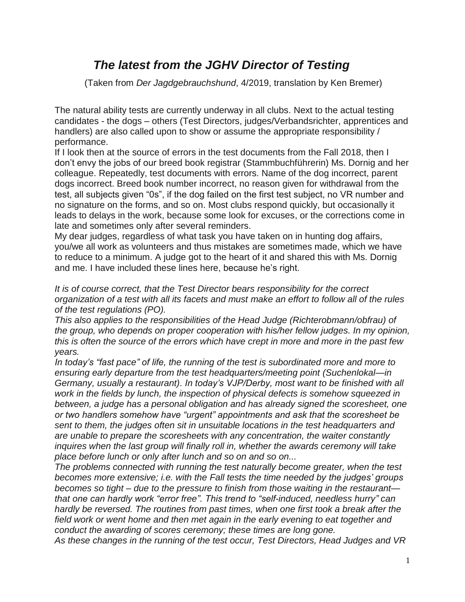## *The latest from the JGHV Director of Testing*

(Taken from *Der Jagdgebrauchshund*, 4/2019, translation by Ken Bremer)

The natural ability tests are currently underway in all clubs. Next to the actual testing candidates - the dogs – others (Test Directors, judges/Verbandsrichter, apprentices and handlers) are also called upon to show or assume the appropriate responsibility / performance.

If I look then at the source of errors in the test documents from the Fall 2018, then I don't envy the jobs of our breed book registrar (Stammbuchführerin) Ms. Dornig and her colleague. Repeatedly, test documents with errors. Name of the dog incorrect, parent dogs incorrect. Breed book number incorrect, no reason given for withdrawal from the test, all subjects given "0s", if the dog failed on the first test subject, no VR number and no signature on the forms, and so on. Most clubs respond quickly, but occasionally it leads to delays in the work, because some look for excuses, or the corrections come in late and sometimes only after several reminders.

My dear judges, regardless of what task you have taken on in hunting dog affairs, you/we all work as volunteers and thus mistakes are sometimes made, which we have to reduce to a minimum. A judge got to the heart of it and shared this with Ms. Dornig and me. I have included these lines here, because he's right.

*It is of course correct, that the Test Director bears responsibility for the correct organization of a test with all its facets and must make an effort to follow all of the rules of the test regulations (PO).* 

*This also applies to the responsibilities of the Head Judge (Richterobmann/obfrau) of the group, who depends on proper cooperation with his/her fellow judges. In my opinion, this is often the source of the errors which have crept in more and more in the past few years.*

*In today's "fast pace" of life, the running of the test is subordinated more and more to ensuring early departure from the test headquarters/meeting point (Suchenlokal—in Germany, usually a restaurant). In today's VJP/Derby, most want to be finished with all work in the fields by lunch, the inspection of physical defects is somehow squeezed in between, a judge has a personal obligation and has already signed the scoresheet, one or two handlers somehow have "urgent" appointments and ask that the scoresheet be sent to them, the judges often sit in unsuitable locations in the test headquarters and are unable to prepare the scoresheets with any concentration, the waiter constantly inquires when the last group will finally roll in, whether the awards ceremony will take place before lunch or only after lunch and so on and so on...*

*The problems connected with running the test naturally become greater, when the test becomes more extensive; i.e. with the Fall tests the time needed by the judges' groups becomes so tight – due to the pressure to finish from those waiting in the restaurant that one can hardly work "error free". This trend to "self-induced, needless hurry" can hardly be reversed. The routines from past times, when one first took a break after the*  field work or went home and then met again in the early evening to eat together and *conduct the awarding of scores ceremony; these times are long gone.*

*As these changes in the running of the test occur, Test Directors, Head Judges and VR*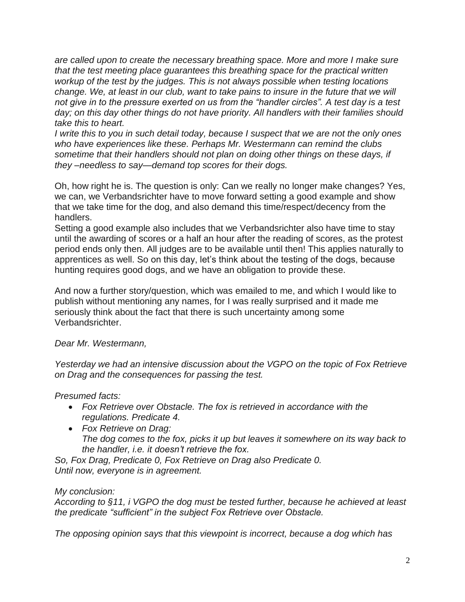*are called upon to create the necessary breathing space. More and more I make sure that the test meeting place guarantees this breathing space for the practical written workup of the test by the judges. This is not always possible when testing locations change. We, at least in our club, want to take pains to insure in the future that we will not give in to the pressure exerted on us from the "handler circles". A test day is a test day; on this day other things do not have priority. All handlers with their families should take this to heart.*

*I write this to you in such detail today, because I suspect that we are not the only ones who have experiences like these. Perhaps Mr. Westermann can remind the clubs sometime that their handlers should not plan on doing other things on these days, if they –needless to say—demand top scores for their dogs.*

Oh, how right he is. The question is only: Can we really no longer make changes? Yes, we can, we Verbandsrichter have to move forward setting a good example and show that we take time for the dog, and also demand this time/respect/decency from the handlers.

Setting a good example also includes that we Verbandsrichter also have time to stay until the awarding of scores or a half an hour after the reading of scores, as the protest period ends only then. All judges are to be available until then! This applies naturally to apprentices as well. So on this day, let's think about the testing of the dogs, because hunting requires good dogs, and we have an obligation to provide these.

And now a further story/question, which was emailed to me, and which I would like to publish without mentioning any names, for I was really surprised and it made me seriously think about the fact that there is such uncertainty among some Verbandsrichter.

*Dear Mr. Westermann,*

*Yesterday we had an intensive discussion about the VGPO on the topic of Fox Retrieve on Drag and the consequences for passing the test.*

*Presumed facts:*

- *Fox Retrieve over Obstacle. The fox is retrieved in accordance with the regulations. Predicate 4.*
- *Fox Retrieve on Drag: The dog comes to the fox, picks it up but leaves it somewhere on its way back to the handler, i.e. it doesn't retrieve the fox.*

*So, Fox Drag, Predicate 0, Fox Retrieve on Drag also Predicate 0. Until now, everyone is in agreement.*

*My conclusion:*

*According to §11, i VGPO the dog must be tested further, because he achieved at least the predicate "sufficient" in the subject Fox Retrieve over Obstacle.*

*The opposing opinion says that this viewpoint is incorrect, because a dog which has*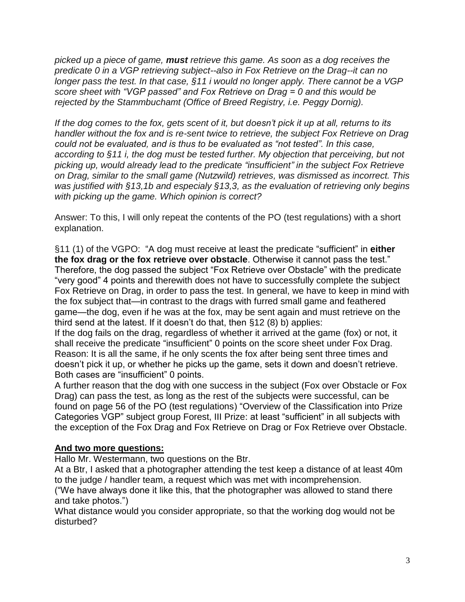*picked up a piece of game, must retrieve this game. As soon as a dog receives the predicate 0 in a VGP retrieving subject--also in Fox Retrieve on the Drag--it can no longer pass the test. In that case, §11 i would no longer apply. There cannot be a VGP score sheet with "VGP passed" and Fox Retrieve on Drag = 0 and this would be rejected by the Stammbuchamt (Office of Breed Registry, i.e. Peggy Dornig).*

*If the dog comes to the fox, gets scent of it, but doesn't pick it up at all, returns to its handler without the fox and is re-sent twice to retrieve, the subject Fox Retrieve on Drag could not be evaluated, and is thus to be evaluated as "not tested". In this case, according to §11 i, the dog must be tested further. My objection that perceiving, but not picking up, would already lead to the predicate "insufficient" in the subject Fox Retrieve on Drag, similar to the small game (Nutzwild) retrieves, was dismissed as incorrect. This was justified with §13,1b and especialy §13,3, as the evaluation of retrieving only begins with picking up the game. Which opinion is correct?*

Answer: To this, I will only repeat the contents of the PO (test regulations) with a short explanation.

§11 (1) of the VGPO: "A dog must receive at least the predicate "sufficient" in **either the fox drag or the fox retrieve over obstacle**. Otherwise it cannot pass the test." Therefore, the dog passed the subject "Fox Retrieve over Obstacle" with the predicate "very good" 4 points and therewith does not have to successfully complete the subject Fox Retrieve on Drag, in order to pass the test. In general, we have to keep in mind with the fox subject that—in contrast to the drags with furred small game and feathered game—the dog, even if he was at the fox, may be sent again and must retrieve on the third send at the latest. If it doesn't do that, then §12 (8) b) applies:

If the dog fails on the drag, regardless of whether it arrived at the game (fox) or not, it shall receive the predicate "insufficient" 0 points on the score sheet under Fox Drag. Reason: It is all the same, if he only scents the fox after being sent three times and doesn't pick it up, or whether he picks up the game, sets it down and doesn't retrieve. Both cases are "insufficient" 0 points.

A further reason that the dog with one success in the subject (Fox over Obstacle or Fox Drag) can pass the test, as long as the rest of the subjects were successful, can be found on page 56 of the PO (test regulations) "Overview of the Classification into Prize Categories VGP" subject group Forest, III Prize: at least "sufficient" in all subjects with the exception of the Fox Drag and Fox Retrieve on Drag or Fox Retrieve over Obstacle.

## **And two more questions:**

Hallo Mr. Westermann, two questions on the Btr.

At a Btr, I asked that a photographer attending the test keep a distance of at least 40m to the judge / handler team, a request which was met with incomprehension.

("We have always done it like this, that the photographer was allowed to stand there and take photos.")

What distance would you consider appropriate, so that the working dog would not be disturbed?